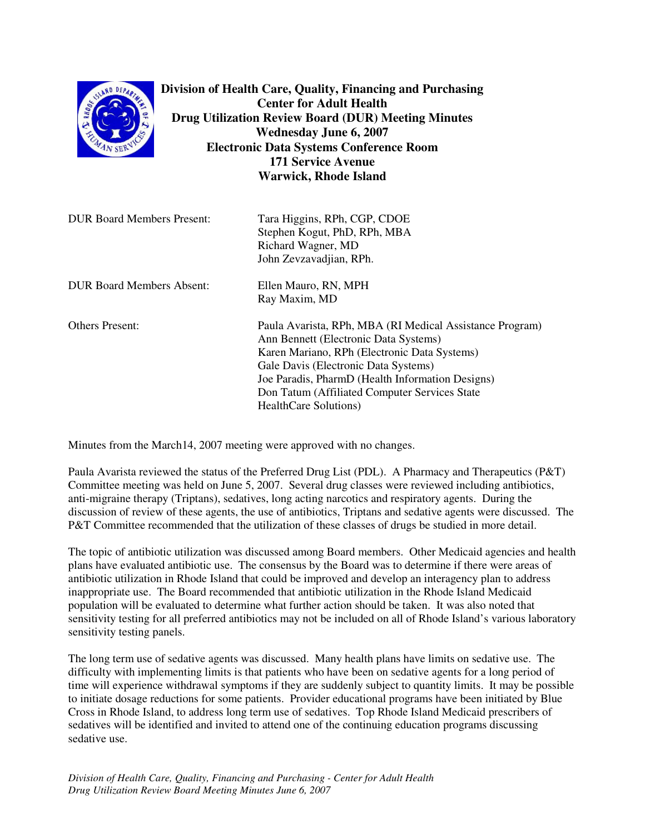| Division of Health Care, Quality, Financing and Purchasing<br>SLAND DEPART<br><b>Center for Adult Health</b><br><b>RHOOF</b><br><b>Drug Utilization Review Board (DUR) Meeting Minutes</b><br><b>Wednesday June 6, 2007</b><br><b>Electronic Data Systems Conference Room</b><br><b>171 Service Avenue</b><br><b>Warwick, Rhode Island</b> |                                                                                                                                                                                                                                                                                                                          |
|--------------------------------------------------------------------------------------------------------------------------------------------------------------------------------------------------------------------------------------------------------------------------------------------------------------------------------------------|--------------------------------------------------------------------------------------------------------------------------------------------------------------------------------------------------------------------------------------------------------------------------------------------------------------------------|
| <b>DUR Board Members Present:</b>                                                                                                                                                                                                                                                                                                          | Tara Higgins, RPh, CGP, CDOE<br>Stephen Kogut, PhD, RPh, MBA<br>Richard Wagner, MD<br>John Zevzavadjian, RPh.                                                                                                                                                                                                            |
| <b>DUR Board Members Absent:</b>                                                                                                                                                                                                                                                                                                           | Ellen Mauro, RN, MPH<br>Ray Maxim, MD                                                                                                                                                                                                                                                                                    |
| <b>Others Present:</b>                                                                                                                                                                                                                                                                                                                     | Paula Avarista, RPh, MBA (RI Medical Assistance Program)<br>Ann Bennett (Electronic Data Systems)<br>Karen Mariano, RPh (Electronic Data Systems)<br>Gale Davis (Electronic Data Systems)<br>Joe Paradis, PharmD (Health Information Designs)<br>Don Tatum (Affiliated Computer Services State)<br>HealthCare Solutions) |

Minutes from the March14, 2007 meeting were approved with no changes.

Paula Avarista reviewed the status of the Preferred Drug List (PDL). A Pharmacy and Therapeutics (P&T) Committee meeting was held on June 5, 2007. Several drug classes were reviewed including antibiotics, anti-migraine therapy (Triptans), sedatives, long acting narcotics and respiratory agents. During the discussion of review of these agents, the use of antibiotics, Triptans and sedative agents were discussed. The P&T Committee recommended that the utilization of these classes of drugs be studied in more detail.

The topic of antibiotic utilization was discussed among Board members. Other Medicaid agencies and health plans have evaluated antibiotic use. The consensus by the Board was to determine if there were areas of antibiotic utilization in Rhode Island that could be improved and develop an interagency plan to address inappropriate use. The Board recommended that antibiotic utilization in the Rhode Island Medicaid population will be evaluated to determine what further action should be taken. It was also noted that sensitivity testing for all preferred antibiotics may not be included on all of Rhode Island's various laboratory sensitivity testing panels.

The long term use of sedative agents was discussed. Many health plans have limits on sedative use. The difficulty with implementing limits is that patients who have been on sedative agents for a long period of time will experience withdrawal symptoms if they are suddenly subject to quantity limits. It may be possible to initiate dosage reductions for some patients. Provider educational programs have been initiated by Blue Cross in Rhode Island, to address long term use of sedatives. Top Rhode Island Medicaid prescribers of sedatives will be identified and invited to attend one of the continuing education programs discussing sedative use.

*Division of Health Care, Quality, Financing and Purchasing - Center for Adult Health Drug Utilization Review Board Meeting Minutes June 6, 2007*